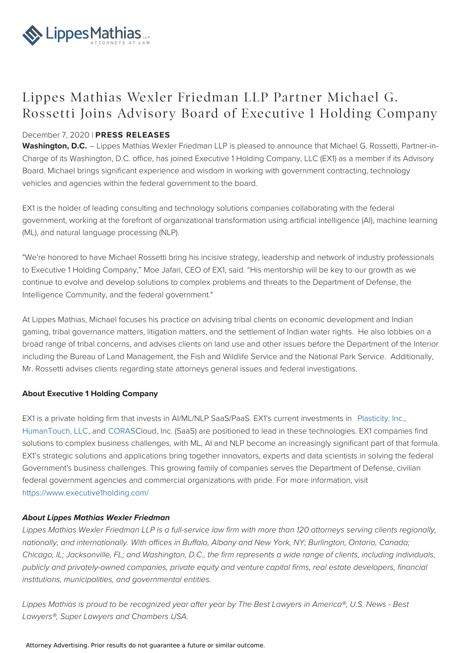

## Lippes Mathias Wexler Friedman LLP Partner Michael G. Rossetti Joins Advisory Board of Executive 1 Holding Company

### December 7, 2020 | **PRESS RELEASES**

**Washington, D.C.** – Lippes Mathias Wexler Friedman LLP is pleased to announce that Michael G. Rossetti, Partner-in-Charge of its Washington, D.C. office, has joined Executive 1 Holding Company, LLC (EX1) as a member if its Advisory Board. Michael brings significant experience and wisdom in working with government contracting, technology vehicles and agencies within the federal government to the board.

EX1 is the holder of leading consulting and technology solutions companies collaborating with the federal government, working at the forefront of organizational transformation using artificial intelligence (AI), machine learning (ML), and natural language processing (NLP).

"We're honored to have Michael Rossetti bring his incisive strategy, leadership and network of industry professionals to Executive 1 Holding Company," Moe Jafari, CEO of EX1, said. "His mentorship will be key to our growth as we continue to evolve and develop solutions to complex problems and threats to the Department of Defense, the Intelligence Community, and the federal government."

At Lippes Mathias, Michael focuses his practice on advising tribal clients on economic development and Indian gaming, tribal governance matters, litigation matters, and the settlement of Indian water rights. He also lobbies on a broad range of tribal concerns, and advises clients on land use and other issues before the Department of the Interior, including the Bureau of Land Management, the Fish and Wildlife Service and the National Park Service. Additionally, Mr. Rossetti advises clients regarding state attorneys general issues and federal investigations.

#### **About Executive 1 Holding Company**

EX1 is a private holding firm that invests in AI/ML/NLP SaaS/PaaS. EX1's current investments in [Plasticity,](http://www.plasticity.ai) Inc., [HumanTouch,](http://www.humantouchllc.com) LLC, and [CORAS](http://www.coras.com)Cloud, Inc. (SaaS) are positioned to lead in these technologies. EX1 companies find solutions to complex business challenges, with ML, AI and NLP become an increasingly significant part of that formula. EX1's strategic solutions and applications bring together innovators, experts and data scientists in solving the federal Government's business challenges. This growing family of companies serves the Department of Defense, civilian federal government agencies and commercial organizations with pride. For more information, visit <https://www.executive1holding.com/>

#### **About Lippes Mathias Wexler Friedman**

Lippes Mathias Wexler Friedman LLP is a full-service law firm with more than 120 attorneys serving clients regionally, nationally, and internationally. With offices in Buffalo, Albany and New York, NY; Burlington, Ontario, Canada; Chicago, IL; Jacksonville, FL; and Washington, D.C., the firm represents a wide range of clients, including individuals, publicly and privately-owned companies, private equity and venture capital firms, real estate developers, financial institutions, municipalities, and governmental entities.

Lippes Mathias is proud to be recognized year after year by The Best Lawyers in America®, U.S. News - Best Lawyers®, Super Lawyers and Chambers USA.

Attorney Advertising. Prior results do not guarantee a future or similar outcome.